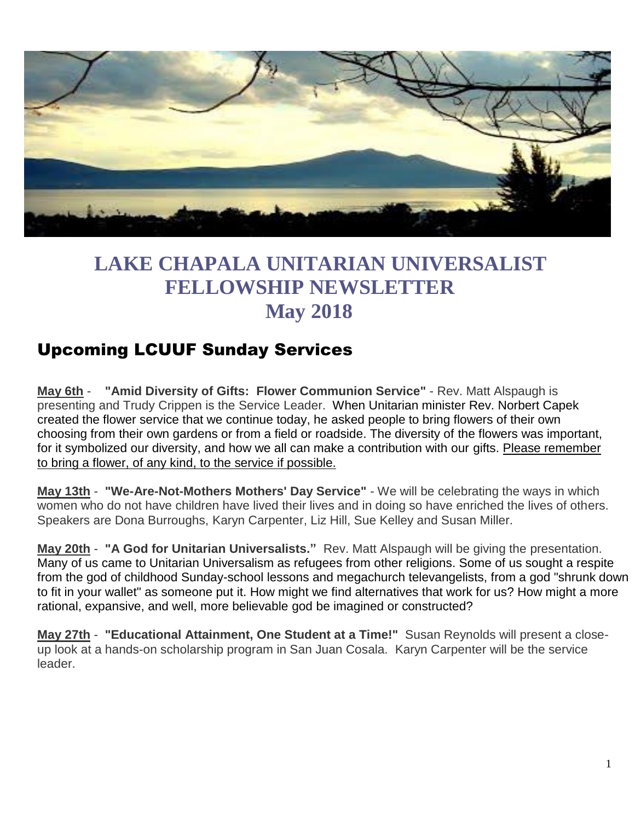

# **LAKE CHAPALA UNITARIAN UNIVERSALIST FELLOWSHIP NEWSLETTER May 2018**

## Upcoming LCUUF Sunday Services

**May 6th** - **"Amid Diversity of Gifts: Flower Communion Service"** - Rev. Matt Alspaugh is presenting and Trudy Crippen is the Service Leader. When Unitarian minister Rev. Norbert Capek created the flower service that we continue today, he asked people to bring flowers of their own choosing from their own gardens or from a field or roadside. The diversity of the flowers was important, for it symbolized our diversity, and how we all can make a contribution with our gifts. Please remember to bring a flower, of any kind, to the service if possible.

**May 13th** - **"We-Are-Not-Mothers Mothers' Day Service"** - We will be celebrating the ways in which women who do not have children have lived their lives and in doing so have enriched the lives of others. Speakers are Dona Burroughs, Karyn Carpenter, Liz Hill, Sue Kelley and Susan Miller.

**May 20th** - **"A God for Unitarian Universalists."** Rev. Matt Alspaugh will be giving the presentation. Many of us came to Unitarian Universalism as refugees from other religions. Some of us sought a respite from the god of childhood Sunday-school lessons and megachurch televangelists, from a god "shrunk down to fit in your wallet" as someone put it. How might we find alternatives that work for us? How might a more rational, expansive, and well, more believable god be imagined or constructed?

**May 27th** - **"Educational Attainment, One Student at a Time!"** Susan Reynolds will present a closeup look at a hands-on scholarship program in San Juan Cosala. Karyn Carpenter will be the service leader.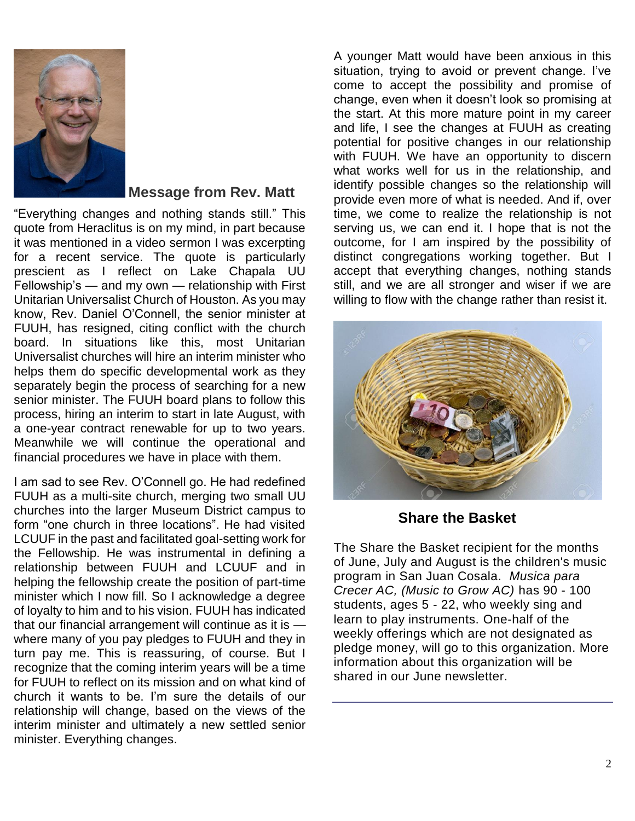

#### **Message from Rev. Matt**

"Everything changes and nothing stands still." This quote from Heraclitus is on my mind, in part because it was mentioned in a video sermon I was excerpting for a recent service. The quote is particularly prescient as I reflect on Lake Chapala UU Fellowship's — and my own — relationship with First Unitarian Universalist Church of Houston. As you may know, Rev. Daniel O'Connell, the senior minister at FUUH, has resigned, citing conflict with the church board. In situations like this, most Unitarian Universalist churches will hire an interim minister who helps them do specific developmental work as they separately begin the process of searching for a new senior minister. The FUUH board plans to follow this process, hiring an interim to start in late August, with a one-year contract renewable for up to two years. Meanwhile we will continue the operational and financial procedures we have in place with them.

I am sad to see Rev. O'Connell go. He had redefined FUUH as a multi-site church, merging two small UU churches into the larger Museum District campus to form "one church in three locations". He had visited LCUUF in the past and facilitated goal-setting work for the Fellowship. He was instrumental in defining a relationship between FUUH and LCUUF and in helping the fellowship create the position of part-time minister which I now fill. So I acknowledge a degree of loyalty to him and to his vision. FUUH has indicated that our financial arrangement will continue as it is where many of you pay pledges to FUUH and they in turn pay me. This is reassuring, of course. But I recognize that the coming interim years will be a time for FUUH to reflect on its mission and on what kind of church it wants to be. I'm sure the details of our relationship will change, based on the views of the interim minister and ultimately a new settled senior minister. Everything changes.

A younger Matt would have been anxious in this situation, trying to avoid or prevent change. I've come to accept the possibility and promise of change, even when it doesn't look so promising at the start. At this more mature point in my career and life, I see the changes at FUUH as creating potential for positive changes in our relationship with FUUH. We have an opportunity to discern what works well for us in the relationship, and identify possible changes so the relationship will provide even more of what is needed. And if, over time, we come to realize the relationship is not serving us, we can end it. I hope that is not the outcome, for I am inspired by the possibility of distinct congregations working together. But I accept that everything changes, nothing stands still, and we are all stronger and wiser if we are willing to flow with the change rather than resist it.



 **Share the Basket**

The Share the Basket recipient for the months of June, July and August is the children's music program in San Juan Cosala. *Musica para Crecer AC, (Music to Grow AC)* has 90 - 100 students, ages 5 - 22, who weekly sing and learn to play instruments. One-half of the weekly offerings which are not designated as pledge money, will go to this organization. More information about this organization will be shared in our June newsletter.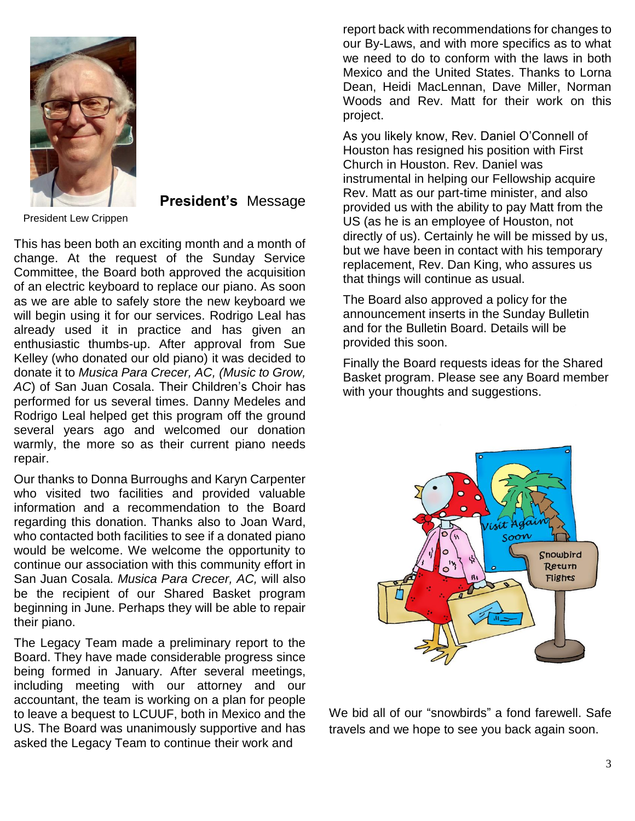

**President's** Message

This has been both an exciting month and a month of change. At the request of the Sunday Service Committee, the Board both approved the acquisition of an electric keyboard to replace our piano. As soon as we are able to safely store the new keyboard we will begin using it for our services. Rodrigo Leal has already used it in practice and has given an enthusiastic thumbs-up. After approval from Sue Kelley (who donated our old piano) it was decided to donate it to *Musica Para Crecer, AC, (Music to Grow, AC*) of San Juan Cosala. Their Children's Choir has performed for us several times. Danny Medeles and Rodrigo Leal helped get this program off the ground several years ago and welcomed our donation warmly, the more so as their current piano needs repair.

Our thanks to Donna Burroughs and Karyn Carpenter who visited two facilities and provided valuable information and a recommendation to the Board regarding this donation. Thanks also to Joan Ward, who contacted both facilities to see if a donated piano would be welcome. We welcome the opportunity to continue our association with this community effort in San Juan Cosala. *Musica Para Crecer, AC,* will also be the recipient of our Shared Basket program beginning in June. Perhaps they will be able to repair their piano.

The Legacy Team made a preliminary report to the Board. They have made considerable progress since being formed in January. After several meetings, including meeting with our attorney and our accountant, the team is working on a plan for people to leave a bequest to LCUUF, both in Mexico and the US. The Board was unanimously supportive and has asked the Legacy Team to continue their work and

report back with recommendations for changes to our By-Laws, and with more specifics as to what we need to do to conform with the laws in both Mexico and the United States. Thanks to Lorna Dean, Heidi MacLennan, Dave Miller, Norman Woods and Rev. Matt for their work on this project.

As you likely know, Rev. Daniel O'Connell of Houston has resigned his position with First Church in Houston. Rev. Daniel was instrumental in helping our Fellowship acquire Rev. Matt as our part-time minister, and also provided us with the ability to pay Matt from the US (as he is an employee of Houston, not directly of us). Certainly he will be missed by us, but we have been in contact with his temporary replacement, Rev. Dan King, who assures us that things will continue as usual.

The Board also approved a policy for the announcement inserts in the Sunday Bulletin and for the Bulletin Board. Details will be provided this soon.

Finally the Board requests ideas for the Shared Basket program. Please see any Board member with your thoughts and suggestions.



We bid all of our "snowbirds" a fond farewell. Safe travels and we hope to see you back again soon.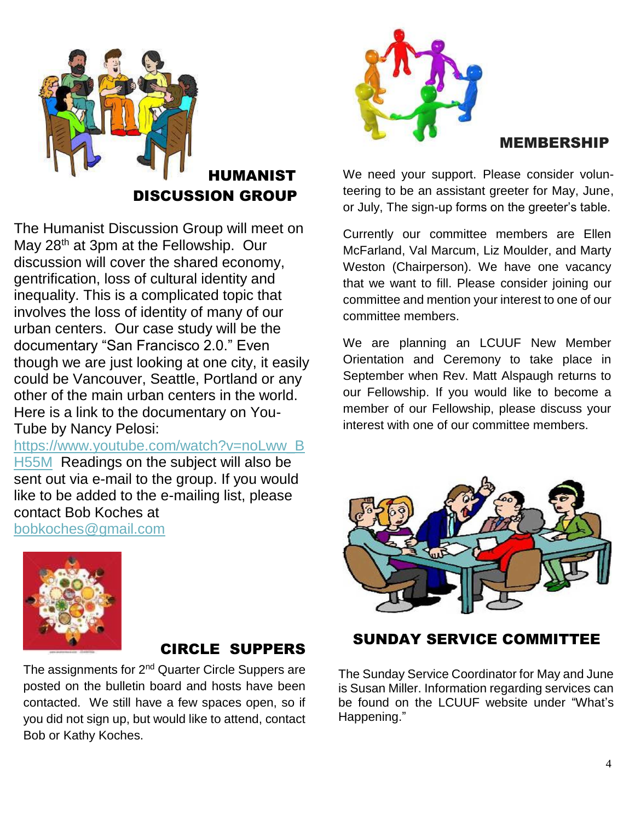

The Humanist Discussion Group will meet on May 28<sup>th</sup> at 3pm at the Fellowship. Our discussion will cover the shared economy, gentrification, loss of cultural identity and inequality. This is a complicated topic that involves the loss of identity of many of our urban centers. Our case study will be the documentary "San Francisco 2.0." Even though we are just looking at one city, it easily could be Vancouver, Seattle, Portland or any other of the main urban centers in the world. Here is a link to the documentary on You-Tube by Nancy Pelosi:

[https://www.youtube.com/watch?v=noLww\\_B](https://www.youtube.com/watch?v=noLww_BH55M) [H55M](https://www.youtube.com/watch?v=noLww_BH55M) Readings on the subject will also be sent out via e-mail to the group. If you would like to be added to the e-mailing list, please contact Bob Koches at





#### CIRCLE SUPPERS

The assignments for 2<sup>nd</sup> Quarter Circle Suppers are posted on the bulletin board and hosts have been contacted. We still have a few spaces open, so if you did not sign up, but would like to attend, contact Bob or Kathy Koches.



#### MEMBERSHIP

We need your support. Please consider volunteering to be an assistant greeter for May, June, or July, The sign-up forms on the greeter's table.

Currently our committee members are Ellen McFarland, Val Marcum, Liz Moulder, and Marty Weston (Chairperson). We have one vacancy that we want to fill. Please consider joining our committee and mention your interest to one of our committee members.

We are planning an LCUUF New Member Orientation and Ceremony to take place in September when Rev. Matt Alspaugh returns to our Fellowship. If you would like to become a member of our Fellowship, please discuss your interest with one of our committee members.



#### SUNDAY SERVICE COMMITTEE

The Sunday Service Coordinator for May and June is Susan Miller. Information regarding services can be found on the LCUUF website under "What's Happening."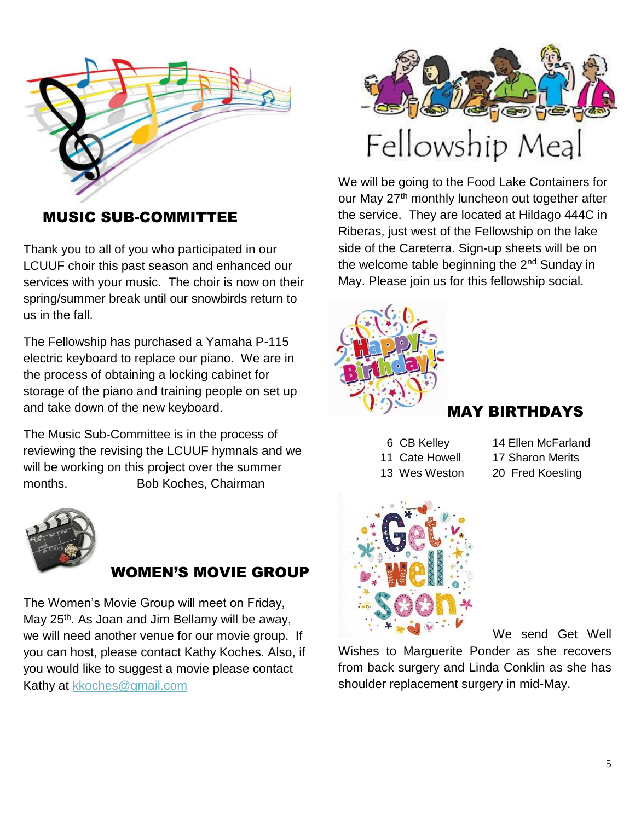

MUSIC SUB-COMMITTEE

Thank you to all of you who participated in our LCUUF choir this past season and enhanced our services with your music. The choir is now on their spring/summer break until our snowbirds return to us in the fall.

The Fellowship has purchased a Yamaha P-115 electric keyboard to replace our piano. We are in the process of obtaining a locking cabinet for storage of the piano and training people on set up and take down of the new keyboard.

The Music Sub-Committee is in the process of reviewing the revising the LCUUF hymnals and we will be working on this project over the summer months. Bob Koches, Chairman



### WOMEN'S MOVIE GROUP

The Women's Movie Group will meet on Friday, May 25<sup>th</sup>. As Joan and Jim Bellamy will be away, we will need another venue for our movie group. If you can host, please contact Kathy Koches. Also, if you would like to suggest a movie please contact Kathy at [kkoches@gmail.com](mailto:kkoches@gmail.com)



We will be going to the Food Lake Containers for our May 27<sup>th</sup> monthly luncheon out together after the service. They are located at Hildago 444C in Riberas, just west of the Fellowship on the lake side of the Careterra. Sign-up sheets will be on the welcome table beginning the 2<sup>nd</sup> Sunday in May. Please join us for this fellowship social.



### MAY BIRTHDAYS

- 11 Cate Howell 17 Sharon Merits
- 6 CB Kelley 14 Ellen McFarland
	-
- 13 Wes Weston 20 Fred Koesling



We send Get Well

Wishes to Marguerite Ponder as she recovers from back surgery and Linda Conklin as she has shoulder replacement surgery in mid-May.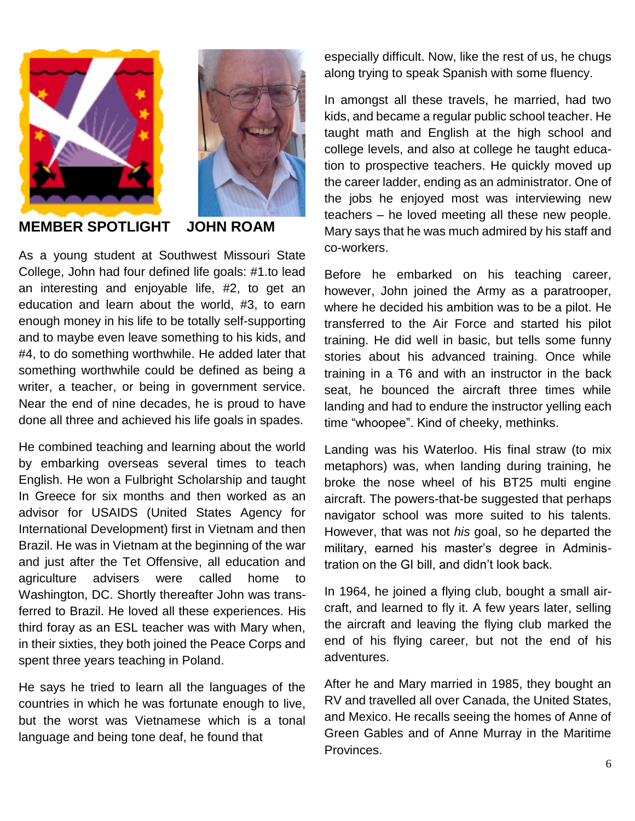



#### **MEMBER SPOTLIGHT JOHN ROAM**

As a young student at Southwest Missouri State College, John had four defined life goals: #1.to lead an interesting and enjoyable life, #2, to get an education and learn about the world, #3, to earn enough money in his life to be totally self-supporting and to maybe even leave something to his kids, and #4, to do something worthwhile. He added later that something worthwhile could be defined as being a writer, a teacher, or being in government service. Near the end of nine decades, he is proud to have done all three and achieved his life goals in spades.

He combined teaching and learning about the world by embarking overseas several times to teach English. He won a Fulbright Scholarship and taught In Greece for six months and then worked as an advisor for USAIDS (United States Agency for International Development) first in Vietnam and then Brazil. He was in Vietnam at the beginning of the war and just after the Tet Offensive, all education and agriculture advisers were called home to Washington, DC. Shortly thereafter John was transferred to Brazil. He loved all these experiences. His third foray as an ESL teacher was with Mary when, in their sixties, they both joined the Peace Corps and spent three years teaching in Poland.

He says he tried to learn all the languages of the countries in which he was fortunate enough to live, but the worst was Vietnamese which is a tonal language and being tone deaf, he found that

especially difficult. Now, like the rest of us, he chugs along trying to speak Spanish with some fluency.

In amongst all these travels, he married, had two kids, and became a regular public school teacher. He taught math and English at the high school and college levels, and also at college he taught education to prospective teachers. He quickly moved up the career ladder, ending as an administrator. One of the jobs he enjoyed most was interviewing new teachers – he loved meeting all these new people. Mary says that he was much admired by his staff and co-workers.

Before he embarked on his teaching career, however, John joined the Army as a paratrooper, where he decided his ambition was to be a pilot. He transferred to the Air Force and started his pilot training. He did well in basic, but tells some funny stories about his advanced training. Once while training in a T6 and with an instructor in the back seat, he bounced the aircraft three times while landing and had to endure the instructor yelling each time "whoopee". Kind of cheeky, methinks.

Landing was his Waterloo. His final straw (to mix metaphors) was, when landing during training, he broke the nose wheel of his BT25 multi engine aircraft. The powers-that-be suggested that perhaps navigator school was more suited to his talents. However, that was not *his* goal, so he departed the military, earned his master's degree in Administration on the GI bill, and didn't look back.

In 1964, he joined a flying club, bought a small aircraft, and learned to fly it. A few years later, selling the aircraft and leaving the flying club marked the end of his flying career, but not the end of his adventures.

After he and Mary married in 1985, they bought an RV and travelled all over Canada, the United States, and Mexico. He recalls seeing the homes of Anne of Green Gables and of Anne Murray in the Maritime Provinces.